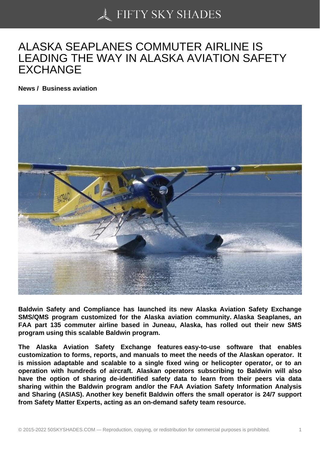## [ALASKA SEAPLANES](https://50skyshades.com) COMMUTER AIRLINE IS LEADING THE WAY IN ALASKA AVIATION SAFETY EXCHANGE

News / Business aviation

Baldwin Safety and Compliance has launched its new Alaska Aviation Safety Exchange SMS/QMS program customized for the Alaska aviation community. Alaska Seaplanes, an FAA part 135 commuter airline based in Juneau, Alaska, has rolled out their new SMS program using this scalable Baldwin program.

The Alaska Aviation Safety Exchange features easy-to-use software that enables customization to forms, reports, and manuals to meet the needs of the Alaskan operator. It is mission adaptable and scalable to a single fixed wing or helicopter operator, or to an operation with hundreds of aircraft. Alaskan operators subscribing to Baldwin will also have the option of sharing de-identified safety data to learn from their peers via data sharing within the Baldwin program and/or the FAA Aviation Safety Information Analysis and Sharing (ASIAS). Another key benefit Baldwin offers the small operator is 24/7 support from Safety Matter Experts, acting as an on-demand safety team resource.